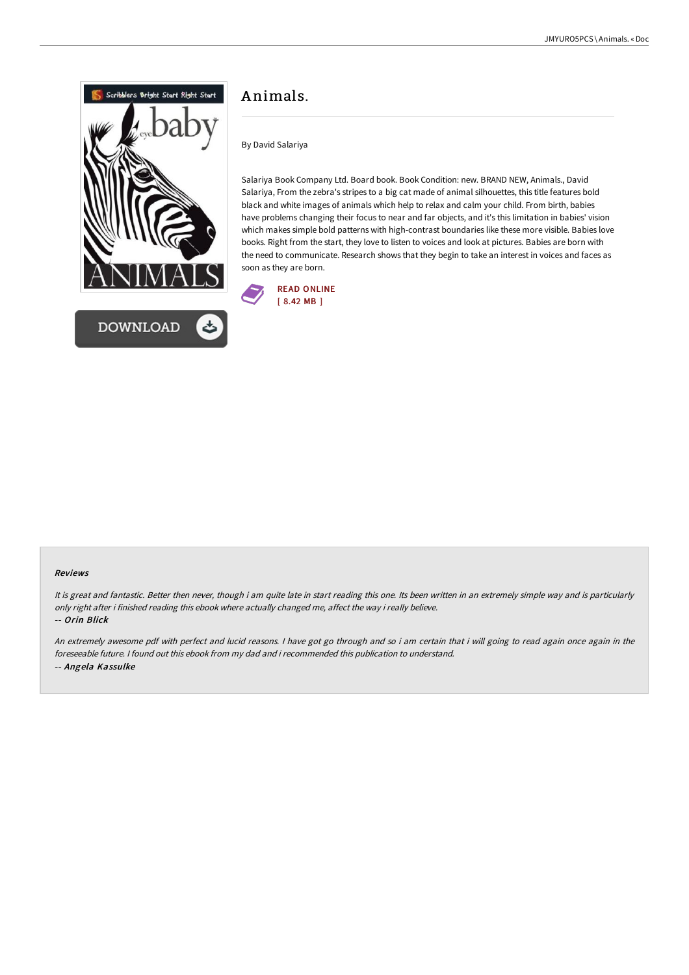

## A nimals.

By David Salariya

Salariya Book Company Ltd. Board book. Book Condition: new. BRAND NEW, Animals., David Salariya, From the zebra's stripes to a big cat made of animal silhouettes, this title features bold black and white images of animals which help to relax and calm your child. From birth, babies have problems changing their focus to near and far objects, and it's this limitation in babies' vision which makes simple bold patterns with high-contrast boundaries like these more visible. Babies love books. Right from the start, they love to listen to voices and look at pictures. Babies are born with the need to communicate. Research shows that they begin to take an interest in voices and faces as soon as they are born.



## Reviews

It is great and fantastic. Better then never, though i am quite late in start reading this one. Its been written in an extremely simple way and is particularly only right after i finished reading this ebook where actually changed me, affect the way i really believe. -- Orin Blick

An extremely awesome pdf with perfect and lucid reasons. <sup>I</sup> have got go through and so i am certain that i will going to read again once again in the foreseeable future. I found out this ebook from my dad and i recommended this publication to understand. -- Angela Kassulke